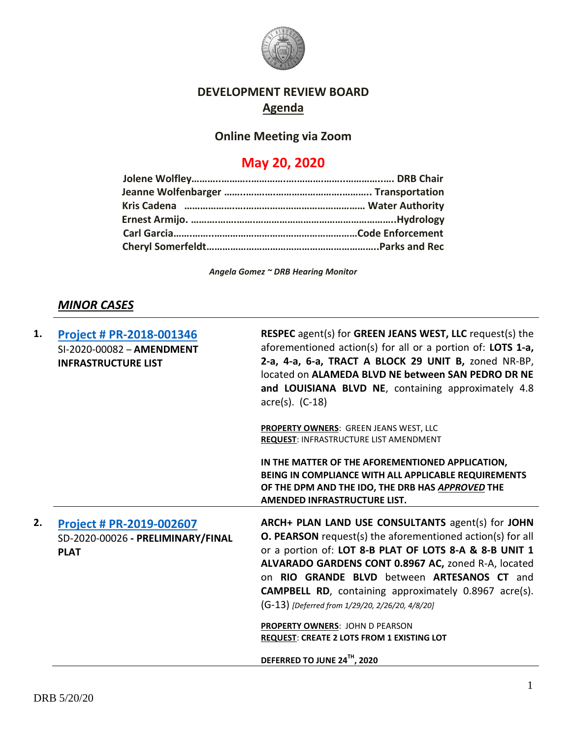

### **DEVELOPMENT REVIEW BOARD Agenda**

## **Online Meeting via Zoom**

# **May 20, 2020**

*Angela Gomez ~ DRB Hearing Monitor*

## *MINOR CASES*

| 1. | Project # PR-2018-001346<br>SI-2020-00082 - AMENDMENT<br><b>INFRASTRUCTURE LIST</b> | <b>RESPEC</b> agent(s) for <b>GREEN JEANS WEST, LLC</b> request(s) the<br>aforementioned action(s) for all or a portion of: LOTS 1-a,<br>2-a, 4-a, 6-a, TRACT A BLOCK 29 UNIT B, zoned NR-BP,<br>located on ALAMEDA BLVD NE between SAN PEDRO DR NE<br>and LOUISIANA BLVD NE, containing approximately 4.8<br>$\arccos 0$ . (C-18)                                                                                                                                                                                                |
|----|-------------------------------------------------------------------------------------|-----------------------------------------------------------------------------------------------------------------------------------------------------------------------------------------------------------------------------------------------------------------------------------------------------------------------------------------------------------------------------------------------------------------------------------------------------------------------------------------------------------------------------------|
|    |                                                                                     | PROPERTY OWNERS: GREEN JEANS WEST, LLC<br>REQUEST: INFRASTRUCTURE LIST AMENDMENT                                                                                                                                                                                                                                                                                                                                                                                                                                                  |
|    |                                                                                     | IN THE MATTER OF THE AFOREMENTIONED APPLICATION,<br>BEING IN COMPLIANCE WITH ALL APPLICABLE REQUIREMENTS<br>OF THE DPM AND THE IDO, THE DRB HAS APPROVED THE<br><b>AMENDED INFRASTRUCTURE LIST.</b>                                                                                                                                                                                                                                                                                                                               |
| 2. | Project # PR-2019-002607<br>SD-2020-00026 - PRELIMINARY/FINAL<br><b>PLAT</b>        | ARCH+ PLAN LAND USE CONSULTANTS agent(s) for JOHN<br><b>O. PEARSON</b> request(s) the aforementioned action(s) for all<br>or a portion of: LOT 8-B PLAT OF LOTS 8-A & 8-B UNIT 1<br>ALVARADO GARDENS CONT 0.8967 AC, zoned R-A, located<br>on RIO GRANDE BLVD between ARTESANOS CT and<br><b>CAMPBELL RD</b> , containing approximately 0.8967 acre(s).<br>(G-13) [Deferred from 1/29/20, 2/26/20, 4/8/20]<br><b>PROPERTY OWNERS: JOHN D PEARSON</b><br>REQUEST: CREATE 2 LOTS FROM 1 EXISTING LOT<br>DEFERRED TO JUNE 24TH, 2020 |